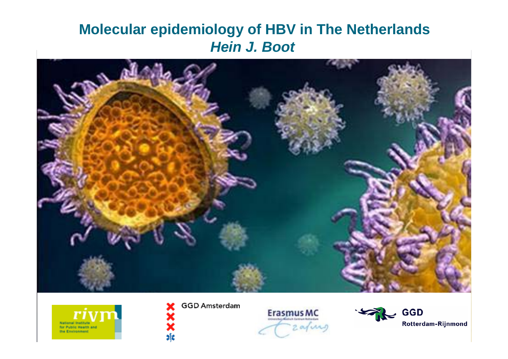### **Molecular epidemiology of HBV in The Netherlands** *Hein J. Boot*





**GGD Amsterdam** 

 $\frac{1}{2}$ 



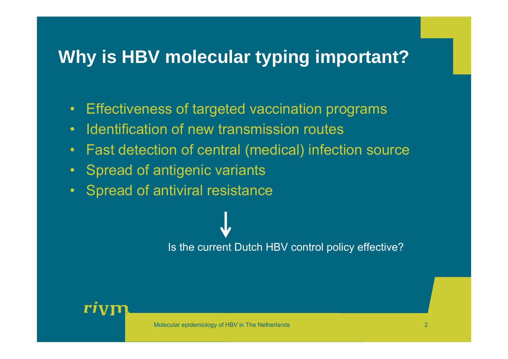# **Why is HBV molecular typing important?**

- •Effectiveness of targeted vaccination programs
- •Identification of new transmission routes
- •Fast detection of central (medical) infection source
- •Spread of antigenic variants
- •Spread of antiviral resistance

Is the current Dutch HBV control policy effective?

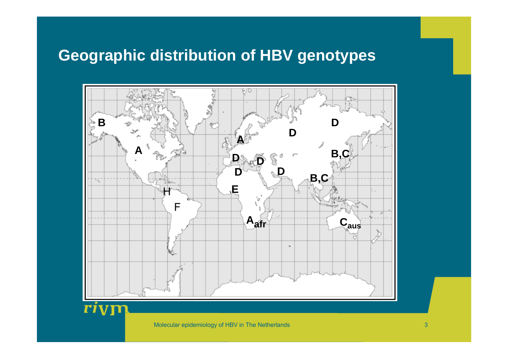### **Geographic distribution of HBV genotypes**

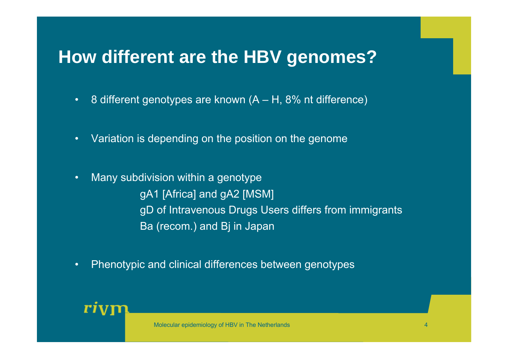# **How different are the HBV genomes?**

- $\bullet$  . 8 different genotypes are known (A – H, 8% nt difference)
- •Variation is depending on the position on the genome
- • Many subdivision within a genotype gA1 [Africa] and gA2 [MSM] gD of Intravenous Drugs Users differs from immigrants Ba (recom.) and Bj in Japan
- $\bullet$ Phenotypic and clinical differences between genotypes

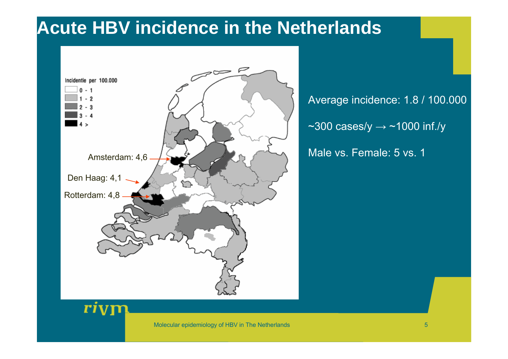## **Acute HBV incidence in the Netherlands**



Average incidence: 1.8 / 100.000  $\sim$ 300 cases/y  $\rightarrow$  ~1000 inf./y

Male vs. Female: 5 vs. 1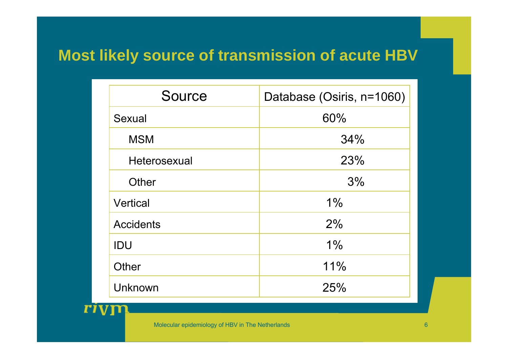## **Most likely source of transmission of acute HBV**

| <b>Source</b>    | Database (Osiris, n=1060) |
|------------------|---------------------------|
| Sexual           | 60%                       |
| <b>MSM</b>       | 34%                       |
| Heterosexual     | 23%                       |
| Other            | 3%                        |
| Vertical         | 1%                        |
| <b>Accidents</b> | 2%                        |
| IDU              | 1%                        |
| Other            | 11%                       |
| Unknown          | 25%                       |

Molecular epidemiology of HBV in The Netherlands

 ${\bf r}$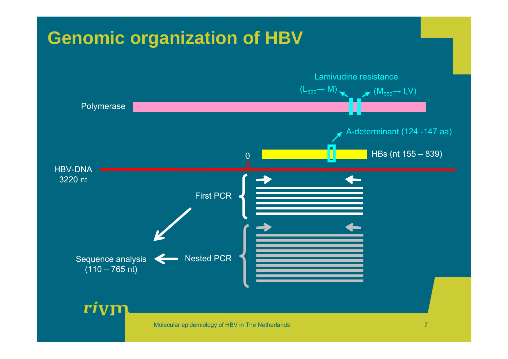# **Genomic organization of HBV**

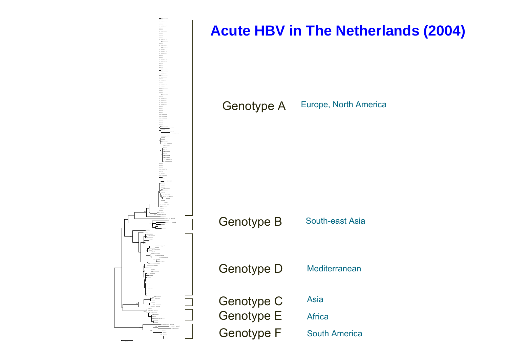

0 .0 1

### **Acute HBV in The Netherlands (2004)**

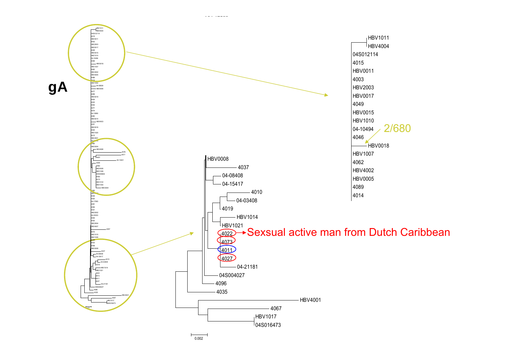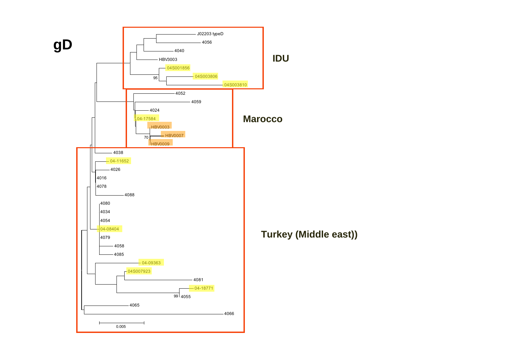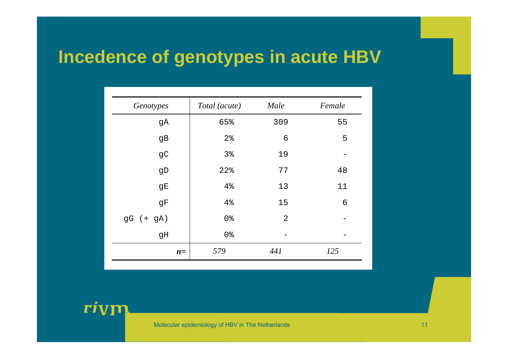## **Incedence of genotypes in acute HBV**

| Genotypes    | Total (acute)  | Male           | Female |  |
|--------------|----------------|----------------|--------|--|
| gA           | 65%            | 309            | 55     |  |
| gB           | 2 <sup>°</sup> | $\epsilon$     | 5      |  |
| $\mathsf{C}$ | 3%             | 19             |        |  |
| ${\tt gD}$   | 22%            | 77             | 48     |  |
| gE           | 4%             | 13             | 11     |  |
| gF           | 4%             | 15             | 6      |  |
| $gG (+ gA)$  | 0 <sup>8</sup> | $\overline{2}$ |        |  |
| gH           | 0 <sup>8</sup> |                |        |  |
| $n=$         | 579            | 441            | 125    |  |

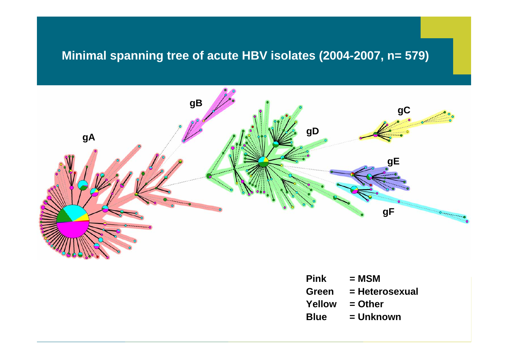#### **Minimal spanning tree of acute HBV isolates (2004-2007, n= 579)**



| <b>Pink</b> | = MSM          |
|-------------|----------------|
| Green       | = Heterosexual |
| Yellow      | = Other        |
| <b>Blue</b> | = Unknown      |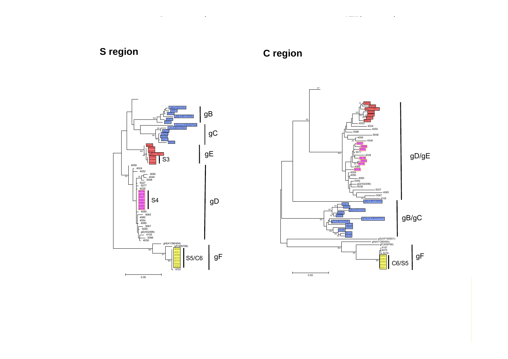#### **S region**

**C region**



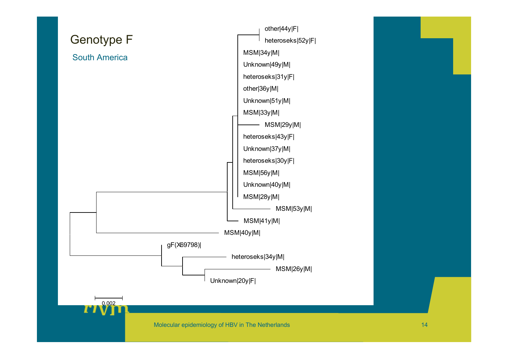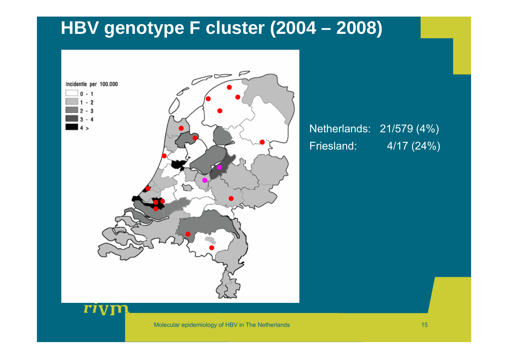# **HBV genotype F cluster (2004 – 2008)**



#### Friesland: 4/17 (24%) Netherlands: 21/579 (4%)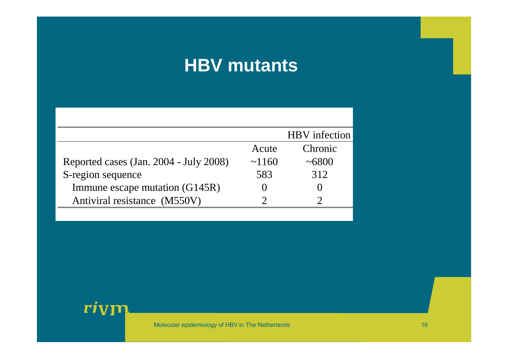## **HBV mutants**

|                                        |             | <b>HBV</b> infection |
|----------------------------------------|-------------|----------------------|
|                                        | Acute       | Chronic              |
| Reported cases (Jan. 2004 - July 2008) | $\sim$ 1160 | ~1000                |
| S-region sequence                      | 583         | 312                  |
| Immune escape mutation (G145R)         |             |                      |
| Antiviral resistance (M550V)           |             |                      |

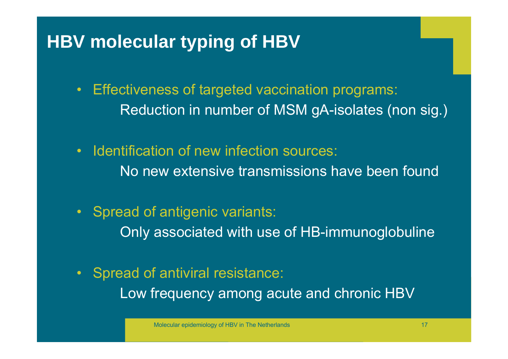# **HBV molecular typing of HBV**

- $\bullet$  Effectiveness of targeted vaccination programs: Reduction in number of MSM gA-isolates (non sig.)
- $\bullet$  Identification of new infection sources: No new extensive transmissions have been found
- Spread of antigenic variants: Only associated with use of HB-immunoglobuline
- $\bullet$  Spread of antiviral resistance: Low frequency among acute and chronic HBV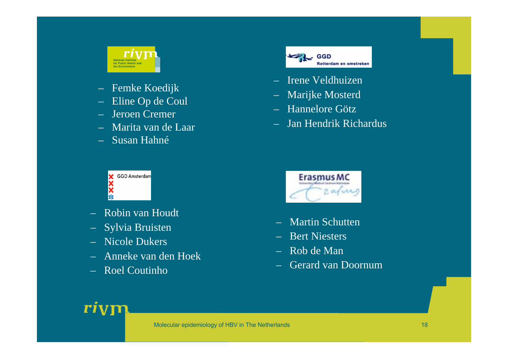

- Femke Koedijk
- Eline Op de Coul
- Jeroen Cremer
- Marita van de Laar
- Susan Hahné



- Robin van Houdt
- Sylvia Bruisten
- Nicole Dukers
- Anneke van den Hoek
- Roel Coutinho



- Irene Veldhuizen
- Marijke Mosterd
- Hannelore Götz
- Jan Hendrik Richardus



- Martin Schutten
- Bert Niesters
- Rob de Man
- Gerard van Doornum

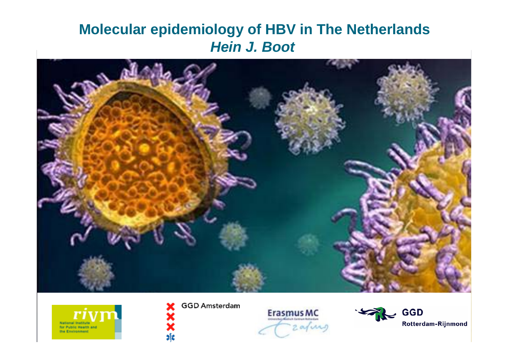### **Molecular epidemiology of HBV in The Netherlands** *Hein J. Boot*





**GGD Amsterdam** 

 $\frac{1}{2}$